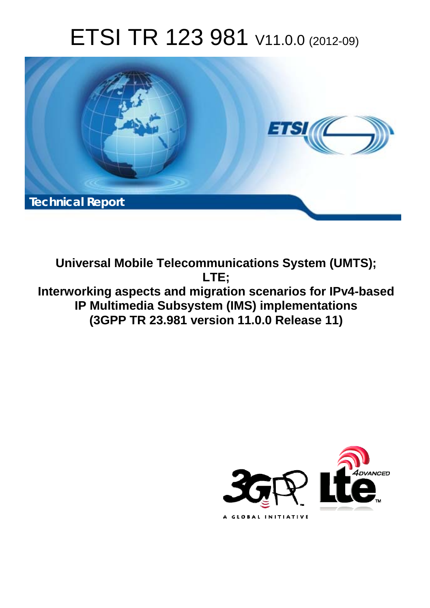# ETSI TR 123 981 V11.0.0 (2012-09)



**Universal Mobile Telecommunications System (UMTS); LTE; Interworking aspects and migration scenarios for IPv4-based IP Multimedia Subsystem (IMS) implementations (3GPP TR 23.981 version 11.0.0 Release 11)** 

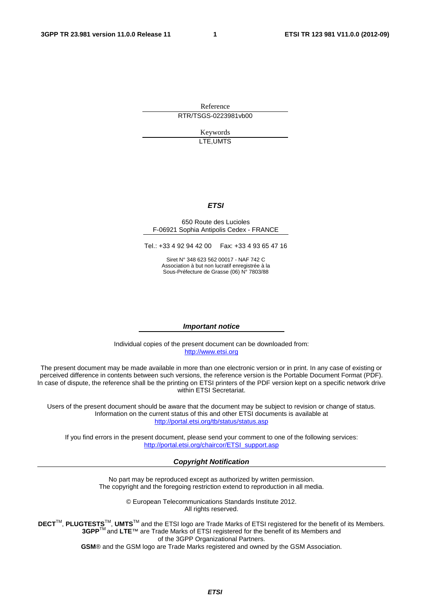Reference RTR/TSGS-0223981vb00

> Keywords LTE,UMTS

#### *ETSI*

#### 650 Route des Lucioles F-06921 Sophia Antipolis Cedex - FRANCE

Tel.: +33 4 92 94 42 00 Fax: +33 4 93 65 47 16

Siret N° 348 623 562 00017 - NAF 742 C Association à but non lucratif enregistrée à la Sous-Préfecture de Grasse (06) N° 7803/88

#### *Important notice*

Individual copies of the present document can be downloaded from: [http://www.etsi.org](http://www.etsi.org/)

The present document may be made available in more than one electronic version or in print. In any case of existing or perceived difference in contents between such versions, the reference version is the Portable Document Format (PDF). In case of dispute, the reference shall be the printing on ETSI printers of the PDF version kept on a specific network drive within ETSI Secretariat.

Users of the present document should be aware that the document may be subject to revision or change of status. Information on the current status of this and other ETSI documents is available at <http://portal.etsi.org/tb/status/status.asp>

If you find errors in the present document, please send your comment to one of the following services: [http://portal.etsi.org/chaircor/ETSI\\_support.asp](http://portal.etsi.org/chaircor/ETSI_support.asp)

#### *Copyright Notification*

No part may be reproduced except as authorized by written permission. The copyright and the foregoing restriction extend to reproduction in all media.

> © European Telecommunications Standards Institute 2012. All rights reserved.

DECT<sup>™</sup>, PLUGTESTS<sup>™</sup>, UMTS<sup>™</sup> and the ETSI logo are Trade Marks of ETSI registered for the benefit of its Members. **3GPP**TM and **LTE**™ are Trade Marks of ETSI registered for the benefit of its Members and of the 3GPP Organizational Partners.

**GSM**® and the GSM logo are Trade Marks registered and owned by the GSM Association.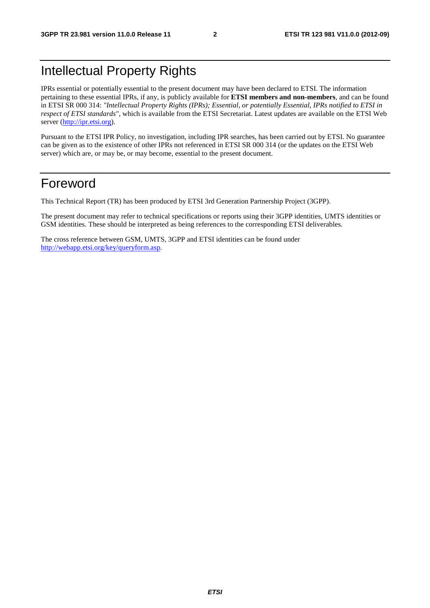# Intellectual Property Rights

IPRs essential or potentially essential to the present document may have been declared to ETSI. The information pertaining to these essential IPRs, if any, is publicly available for **ETSI members and non-members**, and can be found in ETSI SR 000 314: *"Intellectual Property Rights (IPRs); Essential, or potentially Essential, IPRs notified to ETSI in respect of ETSI standards"*, which is available from the ETSI Secretariat. Latest updates are available on the ETSI Web server [\(http://ipr.etsi.org](http://webapp.etsi.org/IPR/home.asp)).

Pursuant to the ETSI IPR Policy, no investigation, including IPR searches, has been carried out by ETSI. No guarantee can be given as to the existence of other IPRs not referenced in ETSI SR 000 314 (or the updates on the ETSI Web server) which are, or may be, or may become, essential to the present document.

# Foreword

This Technical Report (TR) has been produced by ETSI 3rd Generation Partnership Project (3GPP).

The present document may refer to technical specifications or reports using their 3GPP identities, UMTS identities or GSM identities. These should be interpreted as being references to the corresponding ETSI deliverables.

The cross reference between GSM, UMTS, 3GPP and ETSI identities can be found under <http://webapp.etsi.org/key/queryform.asp>.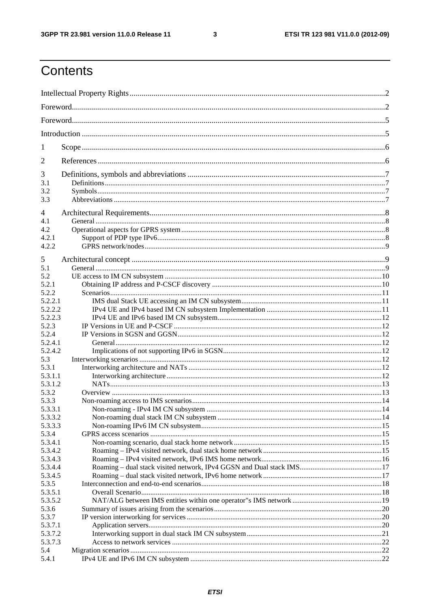$\mathbf{3}$ 

# Contents

| 1       |  |  |  |  |  |  |
|---------|--|--|--|--|--|--|
| 2       |  |  |  |  |  |  |
| 3       |  |  |  |  |  |  |
| 3.1     |  |  |  |  |  |  |
| 3.2     |  |  |  |  |  |  |
| 3.3     |  |  |  |  |  |  |
| 4       |  |  |  |  |  |  |
| 4.1     |  |  |  |  |  |  |
| 4.2     |  |  |  |  |  |  |
| 4.2.1   |  |  |  |  |  |  |
| 4.2.2   |  |  |  |  |  |  |
|         |  |  |  |  |  |  |
| 5       |  |  |  |  |  |  |
| 5.1     |  |  |  |  |  |  |
| 5.2     |  |  |  |  |  |  |
| 5.2.1   |  |  |  |  |  |  |
| 5.2.2   |  |  |  |  |  |  |
| 5.2.2.1 |  |  |  |  |  |  |
| 5.2.2.2 |  |  |  |  |  |  |
| 5.2.2.3 |  |  |  |  |  |  |
| 5.2.3   |  |  |  |  |  |  |
| 5.2.4   |  |  |  |  |  |  |
| 5.2.4.1 |  |  |  |  |  |  |
| 5.2.4.2 |  |  |  |  |  |  |
| 5.3     |  |  |  |  |  |  |
| 5.3.1   |  |  |  |  |  |  |
| 5.3.1.1 |  |  |  |  |  |  |
| 5.3.1.2 |  |  |  |  |  |  |
| 5.3.2   |  |  |  |  |  |  |
| 5.3.3   |  |  |  |  |  |  |
| 5.3.3.1 |  |  |  |  |  |  |
| 5.3.3.2 |  |  |  |  |  |  |
| 5.3.3.3 |  |  |  |  |  |  |
| 5.3.4   |  |  |  |  |  |  |
| 5.3.4.1 |  |  |  |  |  |  |
| 5.3.4.2 |  |  |  |  |  |  |
| 5.3.4.3 |  |  |  |  |  |  |
| 5.3.4.4 |  |  |  |  |  |  |
| 5.3.4.5 |  |  |  |  |  |  |
| 5.3.5   |  |  |  |  |  |  |
| 5.3.5.1 |  |  |  |  |  |  |
| 5.3.5.2 |  |  |  |  |  |  |
| 5.3.6   |  |  |  |  |  |  |
| 5.3.7   |  |  |  |  |  |  |
| 5.3.7.1 |  |  |  |  |  |  |
| 5.3.7.2 |  |  |  |  |  |  |
| 5.3.7.3 |  |  |  |  |  |  |
| 5.4     |  |  |  |  |  |  |
| 5.4.1   |  |  |  |  |  |  |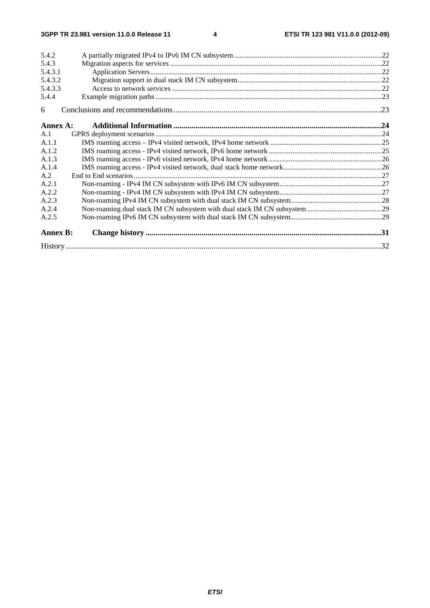| 5.4.2           |  |
|-----------------|--|
| 5.4.3           |  |
| 5.4.3.1         |  |
| 5.4.3.2         |  |
| 5.4.3.3         |  |
| 5.4.4           |  |
| 6               |  |
| Annex A:        |  |
| A.1             |  |
| A.1.1           |  |
| A.1.2           |  |
| A.1.3           |  |
| A.1.4           |  |
| A.2             |  |
| A.2.1           |  |
| A.2.2           |  |
| A.2.3           |  |
| A.2.4           |  |
| A.2.5           |  |
| <b>Annex B:</b> |  |
|                 |  |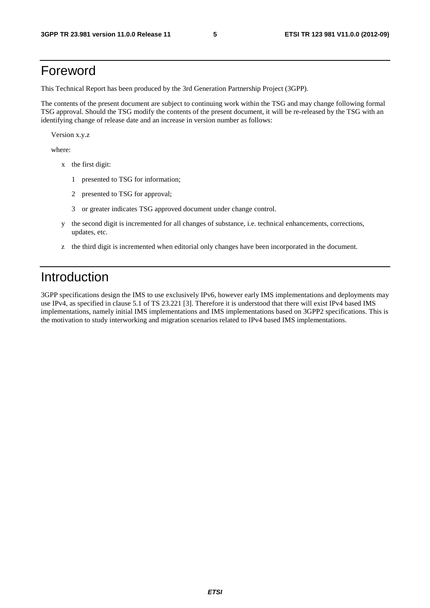# Foreword

This Technical Report has been produced by the 3rd Generation Partnership Project (3GPP).

The contents of the present document are subject to continuing work within the TSG and may change following formal TSG approval. Should the TSG modify the contents of the present document, it will be re-released by the TSG with an identifying change of release date and an increase in version number as follows:

Version x.y.z

where:

- x the first digit:
	- 1 presented to TSG for information;
	- 2 presented to TSG for approval;
	- 3 or greater indicates TSG approved document under change control.
- y the second digit is incremented for all changes of substance, i.e. technical enhancements, corrections, updates, etc.
- z the third digit is incremented when editorial only changes have been incorporated in the document.

# Introduction

3GPP specifications design the IMS to use exclusively IPv6, however early IMS implementations and deployments may use IPv4, as specified in clause 5.1 of TS 23.221 [3]. Therefore it is understood that there will exist IPv4 based IMS implementations, namely initial IMS implementations and IMS implementations based on 3GPP2 specifications. This is the motivation to study interworking and migration scenarios related to IPv4 based IMS implementations.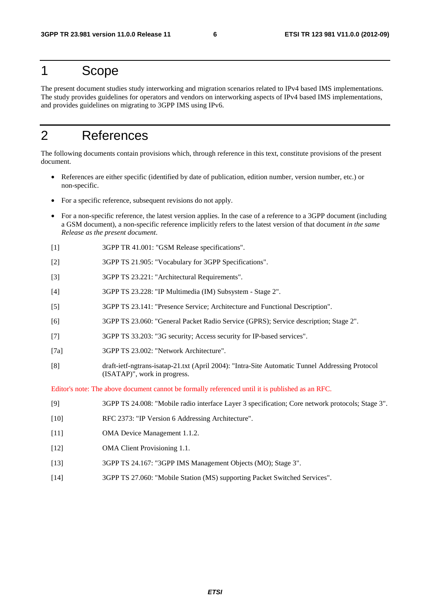# 1 Scope

The present document studies study interworking and migration scenarios related to IPv4 based IMS implementations. The study provides guidelines for operators and vendors on interworking aspects of IPv4 based IMS implementations, and provides guidelines on migrating to 3GPP IMS using IPv6.

# 2 References

The following documents contain provisions which, through reference in this text, constitute provisions of the present document.

- References are either specific (identified by date of publication, edition number, version number, etc.) or non-specific.
- For a specific reference, subsequent revisions do not apply.
- For a non-specific reference, the latest version applies. In the case of a reference to a 3GPP document (including a GSM document), a non-specific reference implicitly refers to the latest version of that document *in the same Release as the present document*.
- [1] 3GPP TR 41.001: "GSM Release specifications".
- [2] 3GPP TS 21.905: "Vocabulary for 3GPP Specifications".
- [3] 3GPP TS 23.221: "Architectural Requirements".
- [4] 3GPP TS 23.228: "IP Multimedia (IM) Subsystem Stage 2".
- [5] 3GPP TS 23.141: "Presence Service; Architecture and Functional Description".
- [6] 3GPP TS 23.060: "General Packet Radio Service (GPRS); Service description; Stage 2".
- [7] 3GPP TS 33.203: "3G security; Access security for IP-based services".
- [7a] 3GPP TS 23.002: "Network Architecture".
- [8] draft-ietf-ngtrans-isatap-21.txt (April 2004): "Intra-Site Automatic Tunnel Addressing Protocol (ISATAP)", work in progress.

Editor's note: The above document cannot be formally referenced until it is published as an RFC.

- [9] 3GPP TS 24.008: "Mobile radio interface Layer 3 specification; Core network protocols; Stage 3".
- [10] RFC 2373: "IP Version 6 Addressing Architecture".
- [11] OMA Device Management 1.1.2.
- [12] OMA Client Provisioning 1.1.
- [13] 3GPP TS 24.167: "3GPP IMS Management Objects (MO); Stage 3".
- [14] 3GPP TS 27.060: "Mobile Station (MS) supporting Packet Switched Services".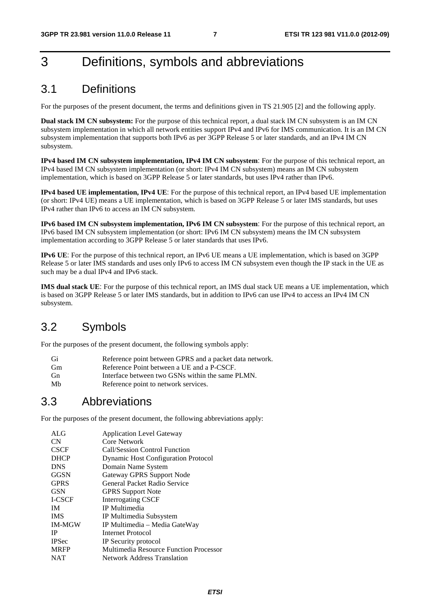# 3 Definitions, symbols and abbreviations

# 3.1 Definitions

For the purposes of the present document, the terms and definitions given in TS 21.905 [2] and the following apply.

**Dual stack IM CN subsystem:** For the purpose of this technical report, a dual stack IM CN subsystem is an IM CN subsystem implementation in which all network entities support IPv4 and IPv6 for IMS communication. It is an IM CN subsystem implementation that supports both IPv6 as per 3GPP Release 5 or later standards, and an IPv4 IM CN subsystem.

**IPv4 based IM CN subsystem implementation, IPv4 IM CN subsystem**: For the purpose of this technical report, an IPv4 based IM CN subsystem implementation (or short: IPv4 IM CN subsystem) means an IM CN subsystem implementation, which is based on 3GPP Release 5 or later standards, but uses IPv4 rather than IPv6.

**IPv4 based UE implementation, IPv4 UE**: For the purpose of this technical report, an IPv4 based UE implementation (or short: IPv4 UE) means a UE implementation, which is based on 3GPP Release 5 or later IMS standards, but uses IPv4 rather than IPv6 to access an IM CN subsystem.

**IPv6 based IM CN subsystem implementation, IPv6 IM CN subsystem**: For the purpose of this technical report, an IPv6 based IM CN subsystem implementation (or short: IPv6 IM CN subsystem) means the IM CN subsystem implementation according to 3GPP Release 5 or later standards that uses IPv6.

**IPv6 UE**: For the purpose of this technical report, an IPv6 UE means a UE implementation, which is based on 3GPP Release 5 or later IMS standards and uses only IPv6 to access IM CN subsystem even though the IP stack in the UE as such may be a dual IPv4 and IPv6 stack.

**IMS dual stack UE**: For the purpose of this technical report, an IMS dual stack UE means a UE implementation, which is based on 3GPP Release 5 or later IMS standards, but in addition to IPv6 can use IPv4 to access an IPv4 IM CN subsystem.

# 3.2 Symbols

For the purposes of the present document, the following symbols apply:

| Gi        | Reference point between GPRS and a packet data network. |
|-----------|---------------------------------------------------------|
| <b>Gm</b> | Reference Point between a UE and a P-CSCF.              |
| <b>Gn</b> | Interface between two GSNs within the same PLMN.        |
| Mb        | Reference point to network services.                    |

# 3.3 Abbreviations

For the purposes of the present document, the following abbreviations apply:

| ALG           | <b>Application Level Gateway</b>           |
|---------------|--------------------------------------------|
| <b>CN</b>     | Core Network                               |
| <b>CSCF</b>   | Call/Session Control Function              |
| <b>DHCP</b>   | <b>Dynamic Host Configuration Protocol</b> |
| <b>DNS</b>    | Domain Name System                         |
| <b>GGSN</b>   | Gateway GPRS Support Node                  |
| <b>GPRS</b>   | General Packet Radio Service               |
| <b>GSN</b>    | <b>GPRS</b> Support Note                   |
| I-CSCF        | <b>Interrogating CSCF</b>                  |
| <b>IM</b>     | IP Multimedia                              |
| <b>IMS</b>    | IP Multimedia Subsystem                    |
| <b>IM-MGW</b> | IP Multimedia – Media GateWay              |
| <b>IP</b>     | Internet Protocol                          |
| <b>IPSec</b>  | IP Security protocol                       |
| <b>MRFP</b>   | Multimedia Resource Function Processor     |
| <b>NAT</b>    | <b>Network Address Translation</b>         |
|               |                                            |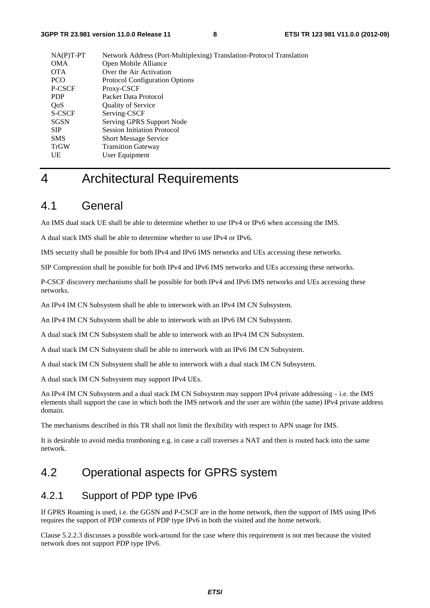| $NA(P)T-PT$ | Network Address (Port-Multiplexing) Translation-Protocol Translation |
|-------------|----------------------------------------------------------------------|
| <b>OMA</b>  | Open Mobile Alliance                                                 |
| <b>OTA</b>  | Over the Air Activation                                              |
| <b>PCO</b>  | <b>Protocol Configuration Options</b>                                |
| P-CSCF      | Proxy-CSCF                                                           |
| <b>PDP</b>  | Packet Data Protocol                                                 |
| QoS         | <b>Quality of Service</b>                                            |
| S-CSCF      | Serving-CSCF                                                         |
| SGSN        | Serving GPRS Support Node                                            |
| <b>SIP</b>  | <b>Session Initiation Protocol</b>                                   |
| <b>SMS</b>  | <b>Short Message Service</b>                                         |
| <b>TrGW</b> | <b>Transition Gateway</b>                                            |
| UE          | User Equipment                                                       |
|             |                                                                      |

# 4 Architectural Requirements

# 4.1 General

An IMS dual stack UE shall be able to determine whether to use IPv4 or IPv6 when accessing the IMS.

A dual stack IMS shall be able to determine whether to use IPv4 or IPv6.

IMS security shall be possible for both IPv4 and IPv6 IMS networks and UEs accessing these networks.

SIP Compression shall be possible for both IPv4 and IPv6 IMS networks and UEs accessing these networks.

P-CSCF discovery mechanisms shall be possible for both IPv4 and IPv6 IMS networks and UEs accessing these networks.

An IPv4 IM CN Subsystem shall be able to interwork with an IPv4 IM CN Subsystem.

An IPv4 IM CN Subsystem shall be able to interwork with an IPv6 IM CN Subsystem.

A dual stack IM CN Subsystem shall be able to interwork with an IPv4 IM CN Subsystem.

A dual stack IM CN Subsystem shall be able to interwork with an IPv6 IM CN Subsystem.

A dual stack IM CN Subsystem shall be able to interwork with a dual stack IM CN Subsystem.

A dual stack IM CN Subsystem may support IPv4 UEs.

An IPv4 IM CN Subsystem and a dual stack IM CN Subsystem may support IPv4 private addressing – i.e. the IMS elements shall support the case in which both the IMS network and the user are within (the same) IPv4 private address domain.

The mechanisms described in this TR shall not limit the flexibility with respect to APN usage for IMS.

It is desirable to avoid media tromboning e.g. in case a call traverses a NAT and then is routed back into the same network.

# 4.2 Operational aspects for GPRS system

### 4.2.1 Support of PDP type IPv6

If GPRS Roaming is used, i.e. the GGSN and P-CSCF are in the home network, then the support of IMS using IPv6 requires the support of PDP contexts of PDP type IPv6 in both the visited and the home network.

Clause 5.2.2.3 discusses a possible work-around for the case where this requirement is not met because the visited network does not support PDP type IPv6.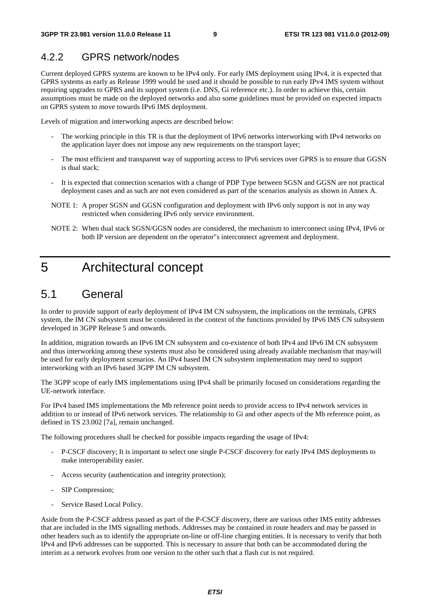### 4.2.2 GPRS network/nodes

Current deployed GPRS systems are known to be IPv4 only. For early IMS deployment using IPv4, it is expected that GPRS systems as early as Release 1999 would be used and it should be possible to run early IPv4 IMS system without requiring upgrades to GPRS and its support system (i.e. DNS, Gi reference etc.). In order to achieve this, certain assumptions must be made on the deployed networks and also some guidelines must be provided on expected impacts on GPRS system to move towards IPv6 IMS deployment.

Levels of migration and interworking aspects are described below:

- The working principle in this TR is that the deployment of IPv6 networks interworking with IPv4 networks on the application layer does not impose any new requirements on the transport layer;
- The most efficient and transparent way of supporting access to IPv6 services over GPRS is to ensure that GGSN is dual stack;
- It is expected that connection scenarios with a change of PDP Type between SGSN and GGSN are not practical deployment cases and as such are not even considered as part of the scenarios analysis as shown in Annex A.
- NOTE 1: A proper SGSN and GGSN configuration and deployment with IPv6 only support is not in any way restricted when considering IPv6 only service environment.
- NOTE 2: When dual stack SGSN/GGSN nodes are considered, the mechanism to interconnect using IPv4, IPv6 or both IP version are dependent on the operator"s interconnect agreement and deployment.

# 5 Architectural concept

# 5.1 General

In order to provide support of early deployment of IPv4 IM CN subsystem, the implications on the terminals, GPRS system, the IM CN subsystem must be considered in the context of the functions provided by IPv6 IMS CN subsystem developed in 3GPP Release 5 and onwards.

In addition, migration towards an IPv6 IM CN subsystem and co-existence of both IPv4 and IPv6 IM CN subsystem and thus interworking among these systems must also be considered using already available mechanism that may/will be used for early deployment scenarios. An IPv4 based IM CN subsystem implementation may need to support interworking with an IPv6 based 3GPP IM CN subsystem.

The 3GPP scope of early IMS implementations using IPv4 shall be primarily focused on considerations regarding the UE-network interface.

For IPv4 based IMS implementations the Mb reference point needs to provide access to IPv4 network services in addition to or instead of IPv6 network services. The relationship to Gi and other aspects of the Mb reference point, as defined in TS 23.002 [7a], remain unchanged.

The following procedures shall be checked for possible impacts regarding the usage of IPv4:

- P-CSCF discovery; It is important to select one single P-CSCF discovery for early IPv4 IMS deployments to make interoperability easier.
- Access security (authentication and integrity protection);
- SIP Compression;
- Service Based Local Policy.

Aside from the P-CSCF address passed as part of the P-CSCF discovery, there are various other IMS entity addresses that are included in the IMS signalling methods. Addresses may be contained in route headers and may be passed in other headers such as to identify the appropriate on-line or off-line charging entities. It is necessary to verify that both IPv4 and IPv6 addresses can be supported. This is necessary to assure that both can be accommodated during the interim as a network evolves from one version to the other such that a flash cut is not required.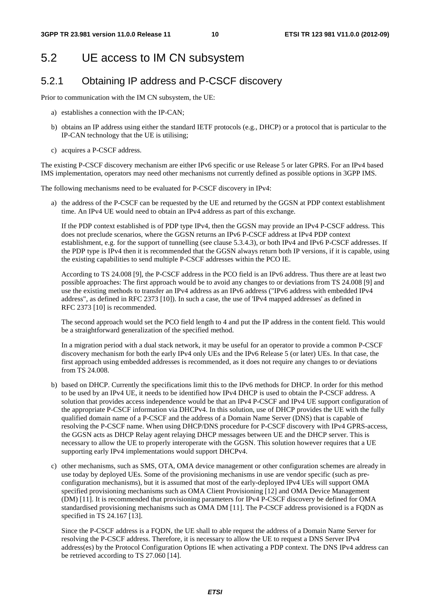# 5.2 UE access to IM CN subsystem

# 5.2.1 Obtaining IP address and P-CSCF discovery

Prior to communication with the IM CN subsystem, the UE:

- a) establishes a connection with the IP-CAN;
- b) obtains an IP address using either the standard IETF protocols (e.g., DHCP) or a protocol that is particular to the IP-CAN technology that the UE is utilising;
- c) acquires a P-CSCF address.

The existing P-CSCF discovery mechanism are either IPv6 specific or use Release 5 or later GPRS. For an IPv4 based IMS implementation, operators may need other mechanisms not currently defined as possible options in 3GPP IMS.

The following mechanisms need to be evaluated for P-CSCF discovery in IPv4:

a) the address of the P-CSCF can be requested by the UE and returned by the GGSN at PDP context establishment time. An IPv4 UE would need to obtain an IPv4 address as part of this exchange.

If the PDP context established is of PDP type IPv4, then the GGSN may provide an IPv4 P-CSCF address. This does not preclude scenarios, where the GGSN returns an IPv6 P-CSCF address at IPv4 PDP context establishment, e.g. for the support of tunnelling (see clause 5.3.4.3), or both IPv4 and IPv6 P-CSCF addresses. If the PDP type is IPv4 then it is recommended that the GGSN always return both IP versions, if it is capable, using the existing capabilities to send multiple P-CSCF addresses within the PCO IE.

According to TS 24.008 [9], the P-CSCF address in the PCO field is an IPv6 address. Thus there are at least two possible approaches: The first approach would be to avoid any changes to or deviations from TS 24.008 [9] and use the existing methods to transfer an IPv4 address as an IPv6 address ("IPv6 address with embedded IPv4 address", as defined in RFC 2373 [10]). In such a case, the use of 'IPv4 mapped addresses' as defined in RFC 2373 [10] is recommended.

The second approach would set the PCO field length to 4 and put the IP address in the content field. This would be a straightforward generalization of the specified method.

In a migration period with a dual stack network, it may be useful for an operator to provide a common P-CSCF discovery mechanism for both the early IPv4 only UEs and the IPv6 Release 5 (or later) UEs. In that case, the first approach using embedded addresses is recommended, as it does not require any changes to or deviations from TS 24.008.

- b) based on DHCP. Currently the specifications limit this to the IPv6 methods for DHCP. In order for this method to be used by an IPv4 UE, it needs to be identified how IPv4 DHCP is used to obtain the P-CSCF address. A solution that provides access independence would be that an IPv4 P-CSCF and IPv4 UE support configuration of the appropriate P-CSCF information via DHCPv4. In this solution, use of DHCP provides the UE with the fully qualified domain name of a P-CSCF and the address of a Domain Name Server (DNS) that is capable of resolving the P-CSCF name. When using DHCP/DNS procedure for P-CSCF discovery with IPv4 GPRS-access, the GGSN acts as DHCP Relay agent relaying DHCP messages between UE and the DHCP server. This is necessary to allow the UE to properly interoperate with the GGSN. This solution however requires that a UE supporting early IPv4 implementations would support DHCPv4.
- c) other mechanisms, such as SMS, OTA, OMA device management or other configuration schemes are already in use today by deployed UEs. Some of the provisioning mechanisms in use are vendor specific (such as preconfiguration mechanisms), but it is assumed that most of the early-deployed IPv4 UEs will support OMA specified provisioning mechanisms such as OMA Client Provisioning [12] and OMA Device Management (DM) [11]. It is recommended that provisioning parameters for IPv4 P-CSCF discovery be defined for OMA standardised provisioning mechanisms such as OMA DM [11]. The P-CSCF address provisioned is a FQDN as specified in TS 24.167 [13].

 Since the P-CSCF address is a FQDN, the UE shall to able request the address of a Domain Name Server for resolving the P-CSCF address. Therefore, it is necessary to allow the UE to request a DNS Server IPv4 address(es) by the Protocol Configuration Options IE when activating a PDP context. The DNS IPv4 address can be retrieved according to TS 27.060 [14].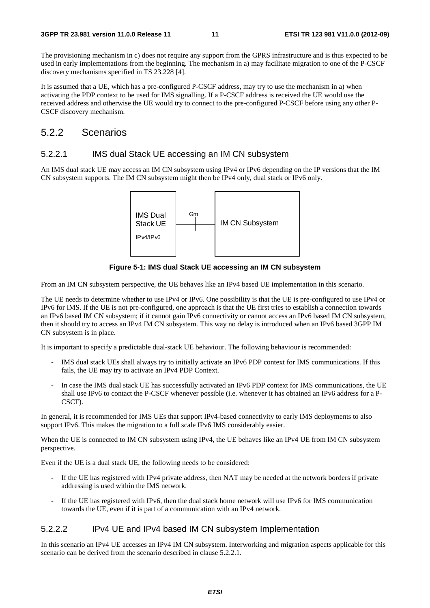The provisioning mechanism in c) does not require any support from the GPRS infrastructure and is thus expected to be used in early implementations from the beginning. The mechanism in a) may facilitate migration to one of the P-CSCF discovery mechanisms specified in TS 23.228 [4].

It is assumed that a UE, which has a pre-configured P-CSCF address, may try to use the mechanism in a) when activating the PDP context to be used for IMS signalling. If a P-CSCF address is received the UE would use the received address and otherwise the UE would try to connect to the pre-configured P-CSCF before using any other P-CSCF discovery mechanism.

### 5.2.2 Scenarios

#### 5.2.2.1 IMS dual Stack UE accessing an IM CN subsystem

An IMS dual stack UE may access an IM CN subsystem using IPv4 or IPv6 depending on the IP versions that the IM CN subsystem supports. The IM CN subsystem might then be IPv4 only, dual stack or IPv6 only.



**Figure 5-1: IMS dual Stack UE accessing an IM CN subsystem** 

From an IM CN subsystem perspective, the UE behaves like an IPv4 based UE implementation in this scenario.

The UE needs to determine whether to use IPv4 or IPv6. One possibility is that the UE is pre-configured to use IPv4 or IPv6 for IMS. If the UE is not pre-configured, one approach is that the UE first tries to establish a connection towards an IPv6 based IM CN subsystem; if it cannot gain IPv6 connectivity or cannot access an IPv6 based IM CN subsystem, then it should try to access an IPv4 IM CN subsystem. This way no delay is introduced when an IPv6 based 3GPP IM CN subsystem is in place.

It is important to specify a predictable dual-stack UE behaviour. The following behaviour is recommended:

- IMS dual stack UEs shall always try to initially activate an IPv6 PDP context for IMS communications. If this fails, the UE may try to activate an IPv4 PDP Context.
- In case the IMS dual stack UE has successfully activated an IPv6 PDP context for IMS communications, the UE shall use IPv6 to contact the P-CSCF whenever possible (i.e. whenever it has obtained an IPv6 address for a P-CSCF).

In general, it is recommended for IMS UEs that support IPv4-based connectivity to early IMS deployments to also support IPv6. This makes the migration to a full scale IPv6 IMS considerably easier.

When the UE is connected to IM CN subsystem using IPv4, the UE behaves like an IPv4 UE from IM CN subsystem perspective.

Even if the UE is a dual stack UE, the following needs to be considered:

- If the UE has registered with IPv4 private address, then NAT may be needed at the network borders if private addressing is used within the IMS network.
- If the UE has registered with IPv6, then the dual stack home network will use IPv6 for IMS communication towards the UE, even if it is part of a communication with an IPv4 network.

#### 5.2.2.2 IPv4 UE and IPv4 based IM CN subsystem Implementation

In this scenario an IPv4 UE accesses an IPv4 IM CN subsystem. Interworking and migration aspects applicable for this scenario can be derived from the scenario described in clause 5.2.2.1.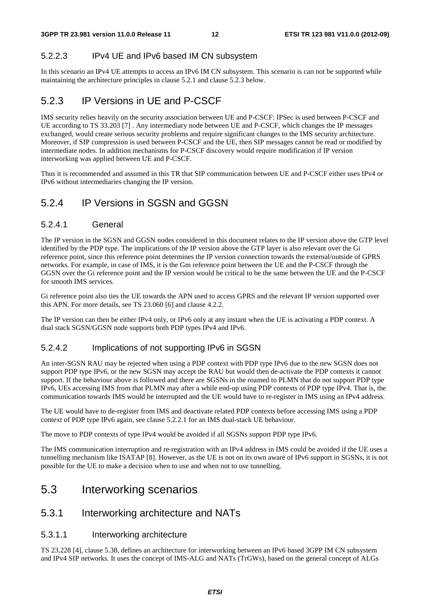#### 5.2.2.3 IPv4 UE and IPv6 based IM CN subsystem

In this scenario an IPv4 UE attempts to access an IPv6 IM CN subsystem. This scenario is can not be supported while maintaining the architecture principles in clause 5.2.1 and clause 5.2.3 below.

### 5.2.3 IP Versions in UE and P-CSCF

IMS security relies heavily on the security association between UE and P-CSCF: IPSec is used between P-CSCF and UE according to TS 33.203 [7] . Any intermediary node between UE and P-CSCF, which changes the IP messages exchanged, would create serious security problems and require significant changes to the IMS security architecture. Moreover, if SIP compression is used between P-CSCF and the UE, then SIP messages cannot be read or modified by intermediate nodes. In addition mechanisms for P-CSCF discovery would require modification if IP version interworking was applied between UE and P-CSCF.

Thus it is recommended and assumed in this TR that SIP communication between UE and P-CSCF either uses IPv4 or IPv6 without intermediaries changing the IP version.

# 5.2.4 IP Versions in SGSN and GGSN

#### 5.2.4.1 General

The IP version in the SGSN and GGSN nodes considered in this document relates to the IP version above the GTP level identified by the PDP type. The implications of the IP version above the GTP layer is also relevant over the Gi reference point, since this reference point determines the IP version connection towards the external/outside of GPRS networks. For example, in case of IMS, it is the Gm reference point between the UE and the P-CSCF through the GGSN over the Gi reference point and the IP version would be critical to be the same between the UE and the P-CSCF for smooth IMS services.

Gi reference point also ties the UE towards the APN used to access GPRS and the relevant IP version supported over this APN. For more details, see TS 23.060 [6] and clause 4.2.2.

The IP version can then be either IPv4 only, or IPv6 only at any instant when the UE is activating a PDP context. A dual stack SGSN/GGSN node supports both PDP types IPv4 and IPv6.

#### 5.2.4.2 Implications of not supporting IPv6 in SGSN

An inter-SGSN RAU may be rejected when using a PDP context with PDP type IPv6 due to the new SGSN does not support PDP type IPv6, or the new SGSN may accept the RAU but would then de-activate the PDP contexts it cannot support. If the behaviour above is followed and there are SGSNs in the roamed to PLMN that do not support PDP type IPv6, UEs accessing IMS from that PLMN may after a while end-up using PDP contexts of PDP type IPv4. That is, the communication towards IMS would be interrupted and the UE would have to re-register in IMS using an IPv4 address.

The UE would have to de-register from IMS and deactivate related PDP contexts before accessing IMS using a PDP context of PDP type IPv6 again, see clause 5.2.2.1 for an IMS dual-stack UE behaviour.

The move to PDP contexts of type IPv4 would be avoided if all SGSNs support PDP type IPv6.

The IMS communication interruption and re-registration with an IPv4 address in IMS could be avoided if the UE uses a tunnelling mechanism like ISATAP [8]. However, as the UE is not on its own aware of IPv6 support in SGSNs, it is not possible for the UE to make a decision when to use and when not to use tunnelling.

# 5.3 Interworking scenarios

### 5.3.1 Interworking architecture and NATs

#### 5.3.1.1 Interworking architecture

TS 23.228 [4], clause 5.38, defines an architecture for interworking between an IPv6 based 3GPP IM CN subsystem and IPv4 SIP networks. It uses the concept of IMS-ALG and NATs (TrGWs), based on the general concept of ALGs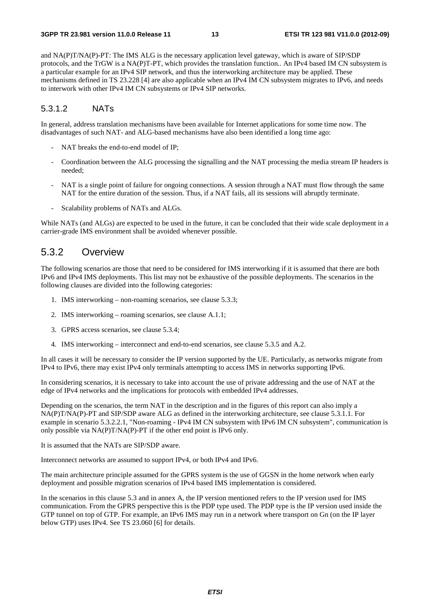and NA(P)T/NA(P)-PT: The IMS ALG is the necessary application level gateway, which is aware of SIP/SDP protocols, and the TrGW is a NA(P)T-PT, which provides the translation function.. An IPv4 based IM CN subsystem is a particular example for an IPv4 SIP network, and thus the interworking architecture may be applied. These mechanisms defined in TS 23.228 [4] are also applicable when an IPv4 IM CN subsystem migrates to IPv6, and needs to interwork with other IPv4 IM CN subsystems or IPv4 SIP networks.

#### 5.3.1.2 NATs

In general, address translation mechanisms have been available for Internet applications for some time now. The disadvantages of such NAT- and ALG-based mechanisms have also been identified a long time ago:

- NAT breaks the end-to-end model of IP;
- Coordination between the ALG processing the signalling and the NAT processing the media stream IP headers is needed;
- NAT is a single point of failure for ongoing connections. A session through a NAT must flow through the same NAT for the entire duration of the session. Thus, if a NAT fails, all its sessions will abruptly terminate.
- Scalability problems of NATs and ALGs.

While NATs (and ALGs) are expected to be used in the future, it can be concluded that their wide scale deployment in a carrier-grade IMS environment shall be avoided whenever possible.

### 5.3.2 Overview

The following scenarios are those that need to be considered for IMS interworking if it is assumed that there are both IPv6 and IPv4 IMS deployments. This list may not be exhaustive of the possible deployments. The scenarios in the following clauses are divided into the following categories:

- 1. IMS interworking non-roaming scenarios, see clause 5.3.3;
- 2. IMS interworking roaming scenarios, see clause A.1.1;
- 3. GPRS access scenarios, see clause 5.3.4;
- 4. IMS interworking interconnect and end-to-end scenarios, see clause 5.3.5 and A.2.

In all cases it will be necessary to consider the IP version supported by the UE. Particularly, as networks migrate from IPv4 to IPv6, there may exist IPv4 only terminals attempting to access IMS in networks supporting IPv6.

In considering scenarios, it is necessary to take into account the use of private addressing and the use of NAT at the edge of IPv4 networks and the implications for protocols with embedded IPv4 addresses.

Depending on the scenarios, the term NAT in the description and in the figures of this report can also imply a NA(P)T/NA(P)-PT and SIP/SDP aware ALG as defined in the interworking architecture, see clause 5.3.1.1. For example in scenario 5.3.2.2.1, "Non-roaming - IPv4 IM CN subsystem with IPv6 IM CN subsystem", communication is only possible via NA(P)T/NA(P)-PT if the other end point is IPv6 only.

It is assumed that the NATs are SIP/SDP aware.

Interconnect networks are assumed to support IPv4, or both IPv4 and IPv6.

The main architecture principle assumed for the GPRS system is the use of GGSN in the home network when early deployment and possible migration scenarios of IPv4 based IMS implementation is considered.

In the scenarios in this clause 5.3 and in annex A, the IP version mentioned refers to the IP version used for IMS communication. From the GPRS perspective this is the PDP type used. The PDP type is the IP version used inside the GTP tunnel on top of GTP. For example, an IPv6 IMS may run in a network where transport on Gn (on the IP layer below GTP) uses IPv4. See TS 23.060 [6] for details.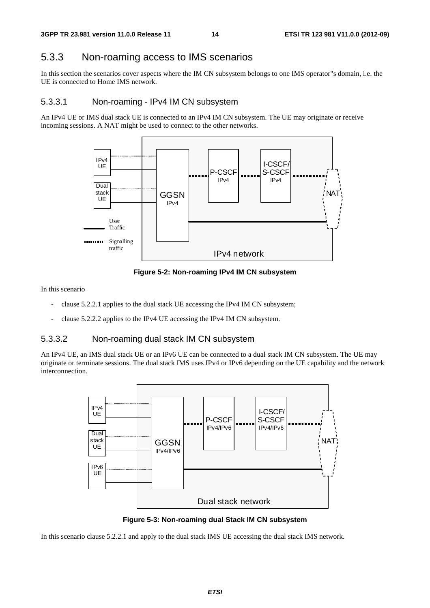### 5.3.3 Non-roaming access to IMS scenarios

In this section the scenarios cover aspects where the IM CN subsystem belongs to one IMS operator"s domain, i.e. the UE is connected to Home IMS network.

#### 5.3.3.1 Non-roaming - IPv4 IM CN subsystem

An IPv4 UE or IMS dual stack UE is connected to an IPv4 IM CN subsystem. The UE may originate or receive incoming sessions. A NAT might be used to connect to the other networks.



**Figure 5-2: Non-roaming IPv4 IM CN subsystem** 

In this scenario

- clause 5.2.2.1 applies to the dual stack UE accessing the IPv4 IM CN subsystem;
- clause 5.2.2.2 applies to the IPv4 UE accessing the IPv4 IM CN subsystem.

#### 5.3.3.2 Non-roaming dual stack IM CN subsystem

An IPv4 UE, an IMS dual stack UE or an IPv6 UE can be connected to a dual stack IM CN subsystem. The UE may originate or terminate sessions. The dual stack IMS uses IPv4 or IPv6 depending on the UE capability and the network interconnection.



**Figure 5-3: Non-roaming dual Stack IM CN subsystem** 

In this scenario clause 5.2.2.1 and apply to the dual stack IMS UE accessing the dual stack IMS network.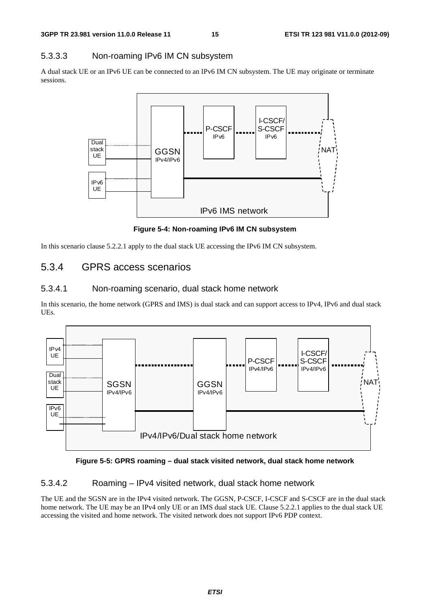#### 5.3.3.3 Non-roaming IPv6 IM CN subsystem

A dual stack UE or an IPv6 UE can be connected to an IPv6 IM CN subsystem. The UE may originate or terminate sessions.



**Figure 5-4: Non-roaming IPv6 IM CN subsystem** 

In this scenario clause 5.2.2.1 apply to the dual stack UE accessing the IPv6 IM CN subsystem.

### 5.3.4 GPRS access scenarios

#### 5.3.4.1 Non-roaming scenario, dual stack home network

In this scenario, the home network (GPRS and IMS) is dual stack and can support access to IPv4, IPv6 and dual stack UEs.



**Figure 5-5: GPRS roaming – dual stack visited network, dual stack home network** 

#### 5.3.4.2 Roaming – IPv4 visited network, dual stack home network

The UE and the SGSN are in the IPv4 visited network. The GGSN, P-CSCF, I-CSCF and S-CSCF are in the dual stack home network. The UE may be an IPv4 only UE or an IMS dual stack UE. Clause 5.2.2.1 applies to the dual stack UE accessing the visited and home network. The visited network does not support IPv6 PDP context.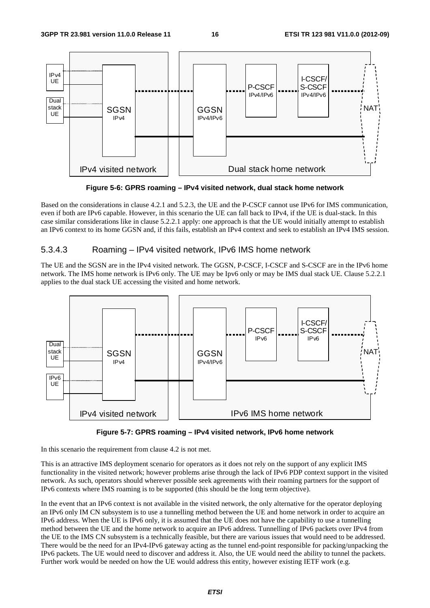

**Figure 5-6: GPRS roaming – IPv4 visited network, dual stack home network** 

Based on the considerations in clause 4.2.1 and 5.2.3, the UE and the P-CSCF cannot use IPv6 for IMS communication, even if both are IPv6 capable. However, in this scenario the UE can fall back to IPv4, if the UE is dual-stack. In this case similar considerations like in clause 5.2.2.1 apply: one approach is that the UE would initially attempt to establish an IPv6 context to its home GGSN and, if this fails, establish an IPv4 context and seek to establish an IPv4 IMS session.

#### 5.3.4.3 Roaming – IPv4 visited network, IPv6 IMS home network

The UE and the SGSN are in the IPv4 visited network. The GGSN, P-CSCF, I-CSCF and S-CSCF are in the IPv6 home network. The IMS home network is IPv6 only. The UE may be Ipv6 only or may be IMS dual stack UE. Clause 5.2.2.1 applies to the dual stack UE accessing the visited and home network.





In this scenario the requirement from clause 4.2 is not met.

This is an attractive IMS deployment scenario for operators as it does not rely on the support of any explicit IMS functionality in the visited network; however problems arise through the lack of IPv6 PDP context support in the visited network. As such, operators should wherever possible seek agreements with their roaming partners for the support of IPv6 contexts where IMS roaming is to be supported (this should be the long term objective).

In the event that an IPv6 context is not available in the visited network, the only alternative for the operator deploying an IPv6 only IM CN subsystem is to use a tunnelling method between the UE and home network in order to acquire an IPv6 address. When the UE is IPv6 only, it is assumed that the UE does not have the capability to use a tunnelling method between the UE and the home network to acquire an IPv6 address. Tunnelling of IPv6 packets over IPv4 from the UE to the IMS CN subsystem is a technically feasible, but there are various issues that would need to be addressed. There would be the need for an IPv4-IPv6 gateway acting as the tunnel end-point responsible for packing/unpacking the IPv6 packets. The UE would need to discover and address it. Also, the UE would need the ability to tunnel the packets. Further work would be needed on how the UE would address this entity, however existing IETF work (e.g.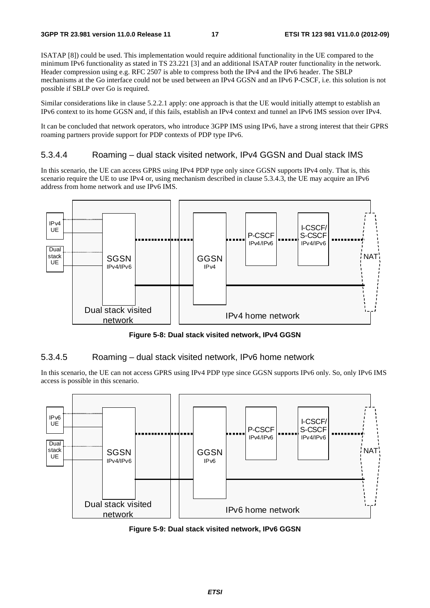ISATAP [8]) could be used. This implementation would require additional functionality in the UE compared to the minimum IPv6 functionality as stated in TS 23.221 [3] and an additional ISATAP router functionality in the network. Header compression using e.g. RFC 2507 is able to compress both the IPv4 and the IPv6 header. The SBLP mechanisms at the Go interface could not be used between an IPv4 GGSN and an IPv6 P-CSCF, i.e. this solution is not possible if SBLP over Go is required.

Similar considerations like in clause 5.2.2.1 apply: one approach is that the UE would initially attempt to establish an IPv6 context to its home GGSN and, if this fails, establish an IPv4 context and tunnel an IPv6 IMS session over IPv4.

It can be concluded that network operators, who introduce 3GPP IMS using IPv6, have a strong interest that their GPRS roaming partners provide support for PDP contexts of PDP type IPv6.

#### 5.3.4.4 Roaming – dual stack visited network, IPv4 GGSN and Dual stack IMS

In this scenario, the UE can access GPRS using IPv4 PDP type only since GGSN supports IPv4 only. That is, this scenario require the UE to use IPv4 or, using mechanism described in clause 5.3.4.3, the UE may acquire an IPv6 address from home network and use IPv6 IMS.



**Figure 5-8: Dual stack visited network, IPv4 GGSN** 

#### 5.3.4.5 Roaming – dual stack visited network, IPv6 home network

In this scenario, the UE can not access GPRS using IPv4 PDP type since GGSN supports IPv6 only. So, only IPv6 IMS access is possible in this scenario.



**Figure 5-9: Dual stack visited network, IPv6 GGSN**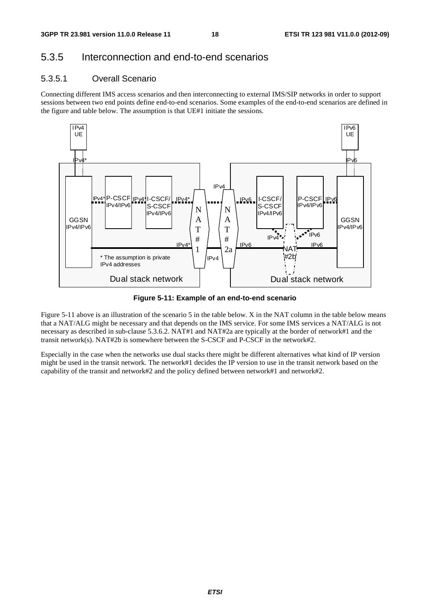### 5.3.5 Interconnection and end-to-end scenarios

#### 5.3.5.1 Overall Scenario

Connecting different IMS access scenarios and then interconnecting to external IMS/SIP networks in order to support sessions between two end points define end-to-end scenarios. Some examples of the end-to-end scenarios are defined in the figure and table below. The assumption is that UE#1 initiate the sessions.



**Figure 5-11: Example of an end-to-end scenario** 

Figure 5-11 above is an illustration of the scenario 5 in the table below. X in the NAT column in the table below means that a NAT/ALG might be necessary and that depends on the IMS service. For some IMS services a NAT/ALG is not necessary as described in sub-clause 5.3.6.2. NAT#1 and NAT#2a are typically at the border of network#1 and the transit network(s). NAT#2b is somewhere between the S-CSCF and P-CSCF in the network#2.

Especially in the case when the networks use dual stacks there might be different alternatives what kind of IP version might be used in the transit network. The network#1 decides the IP version to use in the transit network based on the capability of the transit and network#2 and the policy defined between network#1 and network#2.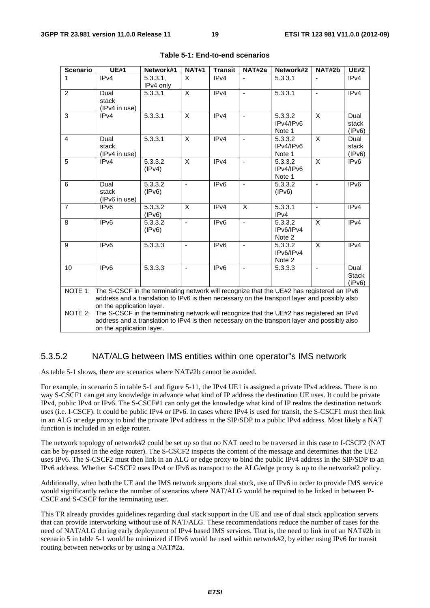| <b>Scenario</b>                                                                                                                                                                                                                   | <b>UE#1</b>                                                                                                                                                                                                            | Network#1            | <b>NAT#1</b>   | <b>Transit</b>   | NAT#2a                   | Network#2                      | NAT#2b                  | <b>UE#2</b>                    |
|-----------------------------------------------------------------------------------------------------------------------------------------------------------------------------------------------------------------------------------|------------------------------------------------------------------------------------------------------------------------------------------------------------------------------------------------------------------------|----------------------|----------------|------------------|--------------------------|--------------------------------|-------------------------|--------------------------------|
| 1                                                                                                                                                                                                                                 | IPv4                                                                                                                                                                                                                   | 5.3.3.1<br>IPv4 only | X              | IPv4             |                          | 5.3.3.1                        |                         | IP <sub>v4</sub>               |
| $\overline{2}$                                                                                                                                                                                                                    | Dual<br>stack<br>(IPv4 in use)                                                                                                                                                                                         | 5.3.3.1              | X              | IPv4             | ä,                       | 5.3.3.1                        | $\overline{a}$          | IP <sub>v4</sub>               |
| 3                                                                                                                                                                                                                                 | IPv4                                                                                                                                                                                                                   | 5.3.3.1              | X              | IPv4             | $\overline{\phantom{a}}$ | 5.3.3.2<br>IPv4/IPv6<br>Note 1 | X                       | Dual<br>stack<br>(IPv6)        |
| 4                                                                                                                                                                                                                                 | Dual<br>stack<br>(IPv4 in use)                                                                                                                                                                                         | 5.3.3.1              | X              | IPv4             | $\frac{1}{2}$            | 5.3.3.2<br>IPv4/IPv6<br>Note 1 | $\overline{\mathsf{x}}$ | Dual<br>stack<br>(IPv6)        |
| 5                                                                                                                                                                                                                                 | IPv4                                                                                                                                                                                                                   | 5.3.3.2<br>(IPv4)    | X              | IPv4             | $\blacksquare$           | 5.3.3.2<br>IPv4/IPv6<br>Note 1 | $\times$                | IP <sub>v6</sub>               |
| 6                                                                                                                                                                                                                                 | Dual<br>stack<br>(IPv6 in use)                                                                                                                                                                                         | 5.3.3.2<br>(IPv6)    | $\blacksquare$ | IP <sub>v6</sub> |                          | 5.3.3.2<br>(IPv6)              |                         | IPv6                           |
| $\overline{7}$                                                                                                                                                                                                                    | IP <sub>v6</sub>                                                                                                                                                                                                       | 5.3.3.2<br>(IPV6)    | X              | IPv4             | X                        | 5.3.3.1<br>IPv4                | $\sim$                  | IPv4                           |
| 8                                                                                                                                                                                                                                 | IP <sub>v6</sub>                                                                                                                                                                                                       | 5.3.3.2<br>(IPv6)    | $\blacksquare$ | IPv6             | $\blacksquare$           | 5.3.3.2<br>IPv6/IPv4<br>Note 2 | X                       | IPv4                           |
| 9                                                                                                                                                                                                                                 | IP <sub>v6</sub>                                                                                                                                                                                                       | 5.3.3.3              | $\blacksquare$ | IPv6             | $\frac{1}{2}$            | 5.3.3.2<br>IPv6/IPv4<br>Note 2 | X                       | IPv4                           |
| 10                                                                                                                                                                                                                                | IP <sub>v6</sub>                                                                                                                                                                                                       | 5.3.3.3              |                | IP <sub>v6</sub> |                          | 5.3.3.3                        |                         | Dual<br><b>Stack</b><br>(IPv6) |
| The S-CSCF in the terminating network will recognize that the UE#2 has registered an IPv6<br>NOTE 1:<br>address and a translation to IPv6 is then necessary on the transport layer and possibly also<br>on the application layer. |                                                                                                                                                                                                                        |                      |                |                  |                          |                                |                         |                                |
| NOTE 2:                                                                                                                                                                                                                           | The S-CSCF in the terminating network will recognize that the UE#2 has registered an IPv4<br>address and a translation to IPv4 is then necessary on the transport layer and possibly also<br>on the application layer. |                      |                |                  |                          |                                |                         |                                |

#### **Table 5-1: End-to-end scenarios**

#### 5.3.5.2 NAT/ALG between IMS entities within one operator"s IMS network

As table 5-1 shows, there are scenarios where NAT#2b cannot be avoided.

For example, in scenario 5 in table 5-1 and figure 5-11, the IPv4 UE1 is assigned a private IPv4 address. There is no way S-CSCF1 can get any knowledge in advance what kind of IP address the destination UE uses. It could be private IPv4, public IPv4 or IPv6. The S-CSCF#1 can only get the knowledge what kind of IP realms the destination network uses (i.e. I-CSCF). It could be public IPv4 or IPv6. In cases where IPv4 is used for transit, the S-CSCF1 must then link in an ALG or edge proxy to bind the private IPv4 address in the SIP/SDP to a public IPv4 address. Most likely a NAT function is included in an edge router.

The network topology of network#2 could be set up so that no NAT need to be traversed in this case to I-CSCF2 (NAT can be by-passed in the edge router). The S-CSCF2 inspects the content of the message and determines that the UE2 uses IPv6. The S-CSCF2 must then link in an ALG or edge proxy to bind the public IPv4 address in the SIP/SDP to an IPv6 address. Whether S-CSCF2 uses IPv4 or IPv6 as transport to the ALG/edge proxy is up to the network#2 policy.

Additionally, when both the UE and the IMS network supports dual stack, use of IPv6 in order to provide IMS service would significantly reduce the number of scenarios where NAT/ALG would be required to be linked in between P-CSCF and S-CSCF for the terminating user.

This TR already provides guidelines regarding dual stack support in the UE and use of dual stack application servers that can provide interworking without use of NAT/ALG. These recommendations reduce the number of cases for the need of NAT/ALG during early deployment of IPv4 based IMS services. That is, the need to link in of an NAT#2b in scenario 5 in table 5-1 would be minimized if IPv6 would be used within network#2, by either using IPv6 for transit routing between networks or by using a NAT#2a.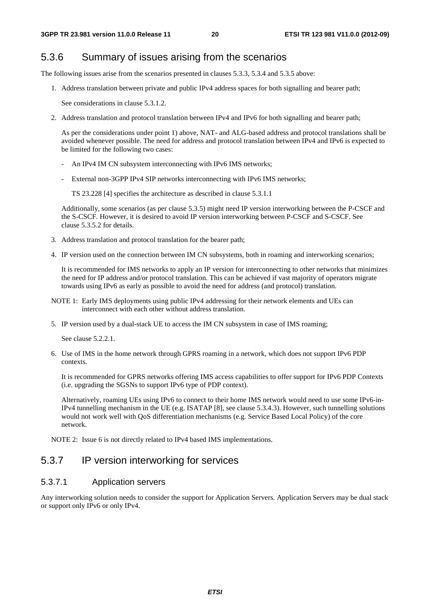### 5.3.6 Summary of issues arising from the scenarios

The following issues arise from the scenarios presented in clauses 5.3.3, 5.3.4 and 5.3.5 above:

1. Address translation between private and public IPv4 address spaces for both signalling and bearer path;

See considerations in clause 5.3.1.2.

2. Address translation and protocol translation between IPv4 and IPv6 for both signalling and bearer path;

 As per the considerations under point 1) above, NAT- and ALG-based address and protocol translations shall be avoided whenever possible. The need for address and protocol translation between IPv4 and IPv6 is expected to be limited for the following two cases:

- An IPv4 IM CN subsystem interconnecting with IPv6 IMS networks;
- External non-3GPP IPv4 SIP networks interconnecting with IPv6 IMS networks;

TS 23.228 [4] specifies the architecture as described in clause 5.3.1.1

 Additionally, some scenarios (as per clause 5.3.5) might need IP version interworking between the P-CSCF and the S-CSCF. However, it is desired to avoid IP version interworking between P-CSCF and S-CSCF. See clause 5.3.5.2 for details.

- 3. Address translation and protocol translation for the bearer path;
- 4. IP version used on the connection between IM CN subsystems, both in roaming and interworking scenarios;

 It is recommended for IMS networks to apply an IP version for interconnecting to other networks that minimizes the need for IP address and/or protocol translation. This can be achieved if vast majority of operators migrate towards using IPv6 as early as possible to avoid the need for address (and protocol) translation.

- NOTE 1: Early IMS deployments using public IPv4 addressing for their network elements and UEs can interconnect with each other without address translation.
- 5. IP version used by a dual-stack UE to access the IM CN subsystem in case of IMS roaming;

See clause 5.2.2.1.

6. Use of IMS in the home network through GPRS roaming in a network, which does not support IPv6 PDP contexts.

 It is recommended for GPRS networks offering IMS access capabilities to offer support for IPv6 PDP Contexts (i.e. upgrading the SGSNs to support IPv6 type of PDP context).

 Alternatively, roaming UEs using IPv6 to connect to their home IMS network would need to use some IPv6-in-IPv4 tunnelling mechanism in the UE (e.g. ISATAP [8], see clause 5.3.4.3). However, such tunnelling solutions would not work well with QoS differentiation mechanisms (e.g. Service Based Local Policy) of the core network.

NOTE 2: Issue 6 is not directly related to IPv4 based IMS implementations.

### 5.3.7 IP version interworking for services

#### 5.3.7.1 Application servers

Any interworking solution needs to consider the support for Application Servers. Application Servers may be dual stack or support only IPv6 or only IPv4.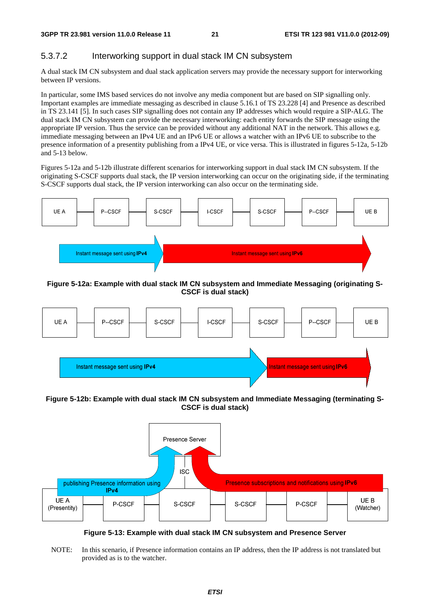#### 5.3.7.2 Interworking support in dual stack IM CN subsystem

A dual stack IM CN subsystem and dual stack application servers may provide the necessary support for interworking between IP versions.

In particular, some IMS based services do not involve any media component but are based on SIP signalling only. Important examples are immediate messaging as described in clause 5.16.1 of TS 23.228 [4] and Presence as described in TS 23.141 [5]. In such cases SIP signalling does not contain any IP addresses which would require a SIP-ALG. The dual stack IM CN subsystem can provide the necessary interworking: each entity forwards the SIP message using the appropriate IP version. Thus the service can be provided without any additional NAT in the network. This allows e.g. immediate messaging between an IPv4 UE and an IPv6 UE or allows a watcher with an IPv6 UE to subscribe to the presence information of a presentity publishing from a IPv4 UE, or vice versa. This is illustrated in figures 5-12a, 5-12b and 5-13 below.

Figures 5-12a and 5-12b illustrate different scenarios for interworking support in dual stack IM CN subsystem. If the originating S-CSCF supports dual stack, the IP version interworking can occur on the originating side, if the terminating S-CSCF supports dual stack, the IP version interworking can also occur on the terminating side.



#### **Figure 5-12a: Example with dual stack IM CN subsystem and Immediate Messaging (originating S-CSCF is dual stack)**



**Figure 5-12b: Example with dual stack IM CN subsystem and Immediate Messaging (terminating S-CSCF is dual stack)** 



**Figure 5-13: Example with dual stack IM CN subsystem and Presence Server** 

NOTE: In this scenario, if Presence information contains an IP address, then the IP address is not translated but provided as is to the watcher.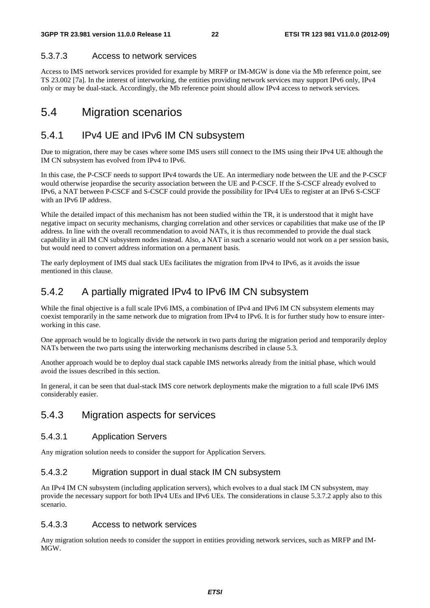#### 5.3.7.3 Access to network services

Access to IMS network services provided for example by MRFP or IM-MGW is done via the Mb reference point, see TS 23.002 [7a]. In the interest of interworking, the entities providing network services may support IPv6 only, IPv4 only or may be dual-stack. Accordingly, the Mb reference point should allow IPv4 access to network services.

# 5.4 Migration scenarios

# 5.4.1 IPv4 UE and IPv6 IM CN subsystem

Due to migration, there may be cases where some IMS users still connect to the IMS using their IPv4 UE although the IM CN subsystem has evolved from IPv4 to IPv6.

In this case, the P-CSCF needs to support IPv4 towards the UE. An intermediary node between the UE and the P-CSCF would otherwise jeopardise the security association between the UE and P-CSCF. If the S-CSCF already evolved to IPv6, a NAT between P-CSCF and S-CSCF could provide the possibility for IPv4 UEs to register at an IPv6 S-CSCF with an IPv6 IP address.

While the detailed impact of this mechanism has not been studied within the TR, it is understood that it might have negative impact on security mechanisms, charging correlation and other services or capabilities that make use of the IP address. In line with the overall recommendation to avoid NATs, it is thus recommended to provide the dual stack capability in all IM CN subsystem nodes instead. Also, a NAT in such a scenario would not work on a per session basis, but would need to convert address information on a permanent basis.

The early deployment of IMS dual stack UEs facilitates the migration from IPv4 to IPv6, as it avoids the issue mentioned in this clause.

# 5.4.2 A partially migrated IPv4 to IPv6 IM CN subsystem

While the final objective is a full scale IPv6 IMS, a combination of IPv4 and IPv6 IM CN subsystem elements may coexist temporarily in the same network due to migration from IPv4 to IPv6. It is for further study how to ensure interworking in this case.

One approach would be to logically divide the network in two parts during the migration period and temporarily deploy NATs between the two parts using the interworking mechanisms described in clause 5.3.

Another approach would be to deploy dual stack capable IMS networks already from the initial phase, which would avoid the issues described in this section.

In general, it can be seen that dual-stack IMS core network deployments make the migration to a full scale IPv6 IMS considerably easier.

### 5.4.3 Migration aspects for services

#### 5.4.3.1 Application Servers

Any migration solution needs to consider the support for Application Servers.

#### 5.4.3.2 Migration support in dual stack IM CN subsystem

An IPv4 IM CN subsystem (including application servers), which evolves to a dual stack IM CN subsystem, may provide the necessary support for both IPv4 UEs and IPv6 UEs. The considerations in clause 5.3.7.2 apply also to this scenario.

#### 5.4.3.3 Access to network services

Any migration solution needs to consider the support in entities providing network services, such as MRFP and IM-MGW.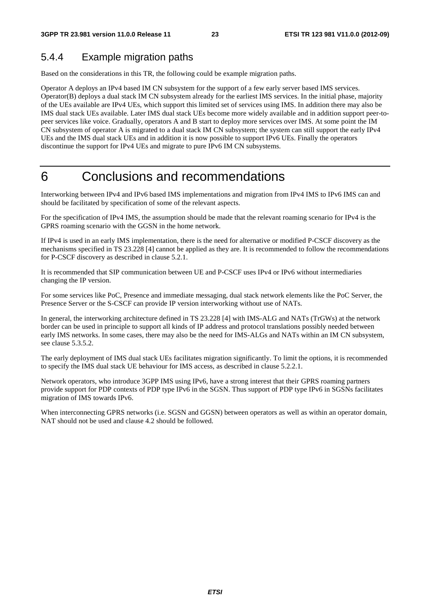# 5.4.4 Example migration paths

Based on the considerations in this TR, the following could be example migration paths.

Operator A deploys an IPv4 based IM CN subsystem for the support of a few early server based IMS services. Operator(B) deploys a dual stack IM CN subsystem already for the earliest IMS services. In the initial phase, majority of the UEs available are IPv4 UEs, which support this limited set of services using IMS. In addition there may also be IMS dual stack UEs available. Later IMS dual stack UEs become more widely available and in addition support peer-topeer services like voice. Gradually, operators A and B start to deploy more services over IMS. At some point the IM CN subsystem of operator A is migrated to a dual stack IM CN subsystem; the system can still support the early IPv4 UEs and the IMS dual stack UEs and in addition it is now possible to support IPv6 UEs. Finally the operators discontinue the support for IPv4 UEs and migrate to pure IPv6 IM CN subsystems.

# 6 Conclusions and recommendations

Interworking between IPv4 and IPv6 based IMS implementations and migration from IPv4 IMS to IPv6 IMS can and should be facilitated by specification of some of the relevant aspects.

For the specification of IPv4 IMS, the assumption should be made that the relevant roaming scenario for IPv4 is the GPRS roaming scenario with the GGSN in the home network.

If IPv4 is used in an early IMS implementation, there is the need for alternative or modified P-CSCF discovery as the mechanisms specified in TS 23.228 [4] cannot be applied as they are. It is recommended to follow the recommendations for P-CSCF discovery as described in clause 5.2.1.

It is recommended that SIP communication between UE and P-CSCF uses IPv4 or IPv6 without intermediaries changing the IP version.

For some services like PoC, Presence and immediate messaging, dual stack network elements like the PoC Server, the Presence Server or the S-CSCF can provide IP version interworking without use of NATs.

In general, the interworking architecture defined in TS 23.228 [4] with IMS-ALG and NATs (TrGWs) at the network border can be used in principle to support all kinds of IP address and protocol translations possibly needed between early IMS networks. In some cases, there may also be the need for IMS-ALGs and NATs within an IM CN subsystem, see clause 5.3.5.2.

The early deployment of IMS dual stack UEs facilitates migration significantly. To limit the options, it is recommended to specify the IMS dual stack UE behaviour for IMS access, as described in clause 5.2.2.1.

Network operators, who introduce 3GPP IMS using IPv6, have a strong interest that their GPRS roaming partners provide support for PDP contexts of PDP type IPv6 in the SGSN. Thus support of PDP type IPv6 in SGSNs facilitates migration of IMS towards IPv6.

When interconnecting GPRS networks (i.e. SGSN and GGSN) between operators as well as within an operator domain, NAT should not be used and clause 4.2 should be followed.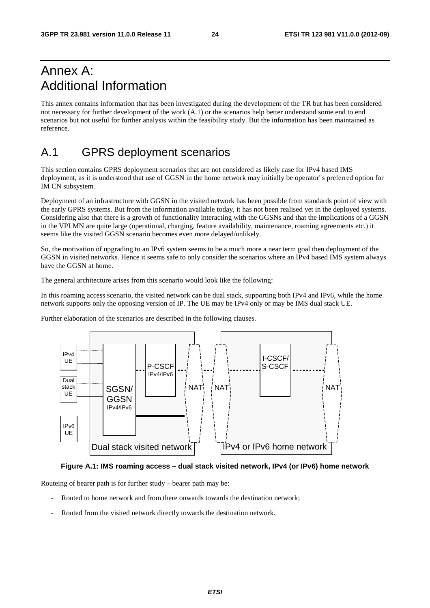# Annex A: Additional Information

This annex contains information that has been investigated during the development of the TR but has been considered not necessary for further development of the work (A.1) or the scenarios help better understand some end to end scenarios but not useful for further analysis within the feasibility study. But the information has been maintained as reference.

# A.1 GPRS deployment scenarios

This section contains GPRS deployment scenarios that are not considered as likely case for IPv4 based IMS deployment, as it is understood that use of GGSN in the home network may initially be operator"s preferred option for IM CN subsystem.

Deployment of an infrastructure with GGSN in the visited network has been possible from standards point of view with the early GPRS systems. But from the information available today, it has not been realised yet in the deployed systems. Considering also that there is a growth of functionality interacting with the GGSNs and that the implications of a GGSN in the VPLMN are quite large (operational, charging, feature availability, maintenance, roaming agreements etc.) it seems like the visited GGSN scenario becomes even more delayed/unlikely.

So, the motivation of upgrading to an IPv6 system seems to be a much more a near term goal then deployment of the GGSN in visited networks. Hence it seems safe to only consider the scenarios where an IPv4 based IMS system always have the GGSN at home.

The general architecture arises from this scenario would look like the following:

In this roaming access scenario, the visited network can be dual stack, supporting both IPv4 and IPv6, while the home network supports only the opposing version of IP. The UE may be IPv4 only or may be IMS dual stack UE.

Further elaboration of the scenarios are described in the following clauses.



#### **Figure A.1: IMS roaming access – dual stack visited network, IPv4 (or IPv6) home network**

Routeing of bearer path is for further study – bearer path may be:

- Routed to home network and from there onwards towards the destination network;
- Routed from the visited network directly towards the destination network.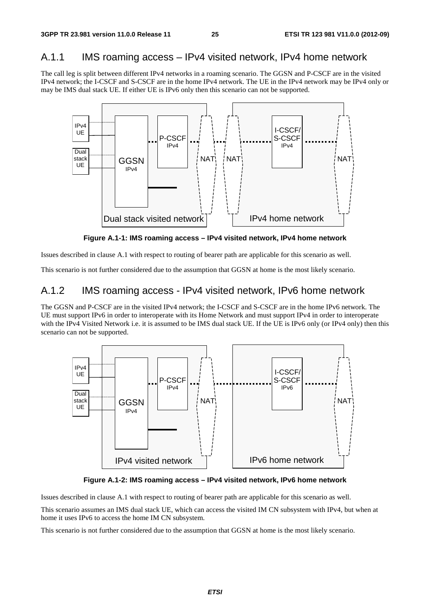# A.1.1 IMS roaming access – IPv4 visited network, IPv4 home network

The call leg is split between different IPv4 networks in a roaming scenario. The GGSN and P-CSCF are in the visited IPv4 network; the I-CSCF and S-CSCF are in the home IPv4 network. The UE in the IPv4 network may be IPv4 only or may be IMS dual stack UE. If either UE is IPv6 only then this scenario can not be supported.



**Figure A.1-1: IMS roaming access – IPv4 visited network, IPv4 home network** 

Issues described in clause A.1 with respect to routing of bearer path are applicable for this scenario as well.

This scenario is not further considered due to the assumption that GGSN at home is the most likely scenario.

### A.1.2 IMS roaming access - IPv4 visited network, IPv6 home network

The GGSN and P-CSCF are in the visited IPv4 network; the I-CSCF and S-CSCF are in the home IPv6 network. The UE must support IPv6 in order to interoperate with its Home Network and must support IPv4 in order to interoperate with the IPv4 Visited Network i.e. it is assumed to be IMS dual stack UE. If the UE is IPv6 only (or IPv4 only) then this scenario can not be supported.



**Figure A.1-2: IMS roaming access – IPv4 visited network, IPv6 home network** 

Issues described in clause A.1 with respect to routing of bearer path are applicable for this scenario as well.

This scenario assumes an IMS dual stack UE, which can access the visited IM CN subsystem with IPv4, but when at home it uses IPv6 to access the home IM CN subsystem.

This scenario is not further considered due to the assumption that GGSN at home is the most likely scenario.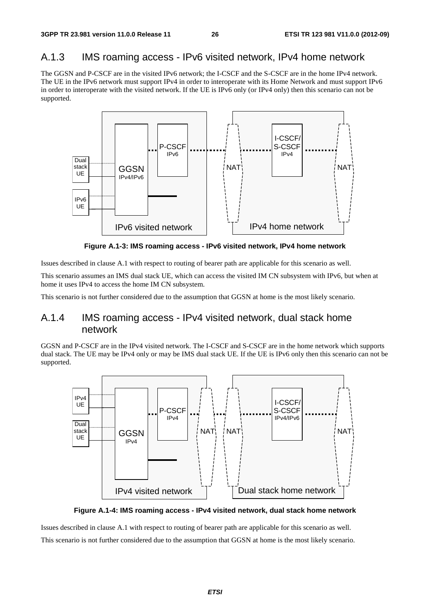# A.1.3 IMS roaming access - IPv6 visited network, IPv4 home network

The GGSN and P-CSCF are in the visited IPv6 network; the I-CSCF and the S-CSCF are in the home IPv4 network. The UE in the IPv6 network must support IPv4 in order to interoperate with its Home Network and must support IPv6 in order to interoperate with the visited network. If the UE is IPv6 only (or IPv4 only) then this scenario can not be supported.



**Figure A.1-3: IMS roaming access - IPv6 visited network, IPv4 home network** 

Issues described in clause A.1 with respect to routing of bearer path are applicable for this scenario as well.

This scenario assumes an IMS dual stack UE, which can access the visited IM CN subsystem with IPv6, but when at home it uses IPv4 to access the home IM CN subsystem.

This scenario is not further considered due to the assumption that GGSN at home is the most likely scenario.

# A.1.4 IMS roaming access - IPv4 visited network, dual stack home network

GGSN and P-CSCF are in the IPv4 visited network. The I-CSCF and S-CSCF are in the home network which supports dual stack. The UE may be IPv4 only or may be IMS dual stack UE. If the UE is IPv6 only then this scenario can not be supported.



**Figure A.1-4: IMS roaming access - IPv4 visited network, dual stack home network** 

Issues described in clause A.1 with respect to routing of bearer path are applicable for this scenario as well. This scenario is not further considered due to the assumption that GGSN at home is the most likely scenario.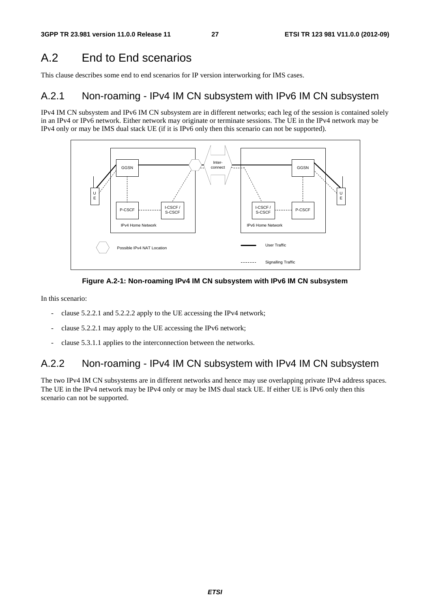# A.2 End to End scenarios

This clause describes some end to end scenarios for IP version interworking for IMS cases.

### A.2.1 Non-roaming - IPv4 IM CN subsystem with IPv6 IM CN subsystem

IPv4 IM CN subsystem and IPv6 IM CN subsystem are in different networks; each leg of the session is contained solely in an IPv4 or IPv6 network. Either network may originate or terminate sessions. The UE in the IPv4 network may be IPv4 only or may be IMS dual stack UE (if it is IPv6 only then this scenario can not be supported).





In this scenario:

- clause 5.2.2.1 and 5.2.2.2 apply to the UE accessing the IPv4 network;
- clause 5.2.2.1 may apply to the UE accessing the IPv6 network;
- clause 5.3.1.1 applies to the interconnection between the networks.

# A.2.2 Non-roaming - IPv4 IM CN subsystem with IPv4 IM CN subsystem

The two IPv4 IM CN subsystems are in different networks and hence may use overlapping private IPv4 address spaces. The UE in the IPv4 network may be IPv4 only or may be IMS dual stack UE. If either UE is IPv6 only then this scenario can not be supported.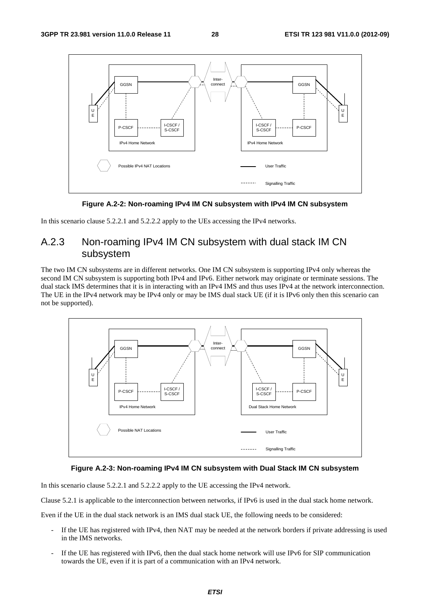

**Figure A.2-2: Non-roaming IPv4 IM CN subsystem with IPv4 IM CN subsystem** 

In this scenario clause 5.2.2.1 and 5.2.2.2 apply to the UEs accessing the IPv4 networks.

# A.2.3 Non-roaming IPv4 IM CN subsystem with dual stack IM CN subsystem

The two IM CN subsystems are in different networks. One IM CN subsystem is supporting IPv4 only whereas the second IM CN subsystem is supporting both IPv4 and IPv6. Either network may originate or terminate sessions. The dual stack IMS determines that it is in interacting with an IPv4 IMS and thus uses IPv4 at the network interconnection. The UE in the IPv4 network may be IPv4 only or may be IMS dual stack UE (if it is IPv6 only then this scenario can not be supported).



#### **Figure A.2-3: Non-roaming IPv4 IM CN subsystem with Dual Stack IM CN subsystem**

In this scenario clause 5.2.2.1 and 5.2.2.2 apply to the UE accessing the IPv4 network.

Clause 5.2.1 is applicable to the interconnection between networks, if IPv6 is used in the dual stack home network.

Even if the UE in the dual stack network is an IMS dual stack UE, the following needs to be considered:

- If the UE has registered with IPv4, then NAT may be needed at the network borders if private addressing is used in the IMS networks.
- If the UE has registered with IPv6, then the dual stack home network will use IPv6 for SIP communication towards the UE, even if it is part of a communication with an IPv4 network.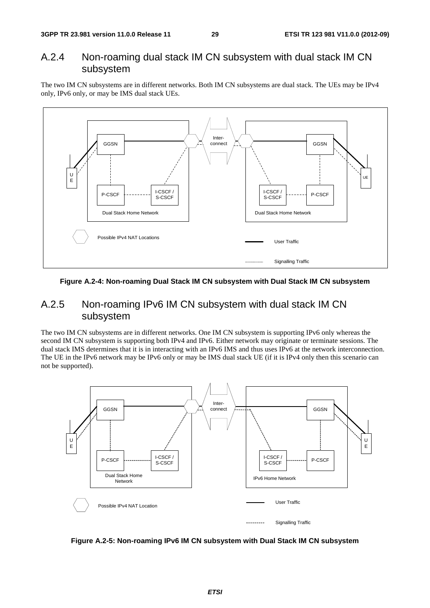### A.2.4 Non-roaming dual stack IM CN subsystem with dual stack IM CN subsystem

The two IM CN subsystems are in different networks. Both IM CN subsystems are dual stack. The UEs may be IPv4 only, IPv6 only, or may be IMS dual stack UEs.



**Figure A.2-4: Non-roaming Dual Stack IM CN subsystem with Dual Stack IM CN subsystem** 

### A.2.5 Non-roaming IPv6 IM CN subsystem with dual stack IM CN subsystem

The two IM CN subsystems are in different networks. One IM CN subsystem is supporting IPv6 only whereas the second IM CN subsystem is supporting both IPv4 and IPv6. Either network may originate or terminate sessions. The dual stack IMS determines that it is in interacting with an IPv6 IMS and thus uses IPv6 at the network interconnection. The UE in the IPv6 network may be IPv6 only or may be IMS dual stack UE (if it is IPv4 only then this scenario can not be supported).



**Figure A.2-5: Non-roaming IPv6 IM CN subsystem with Dual Stack IM CN subsystem**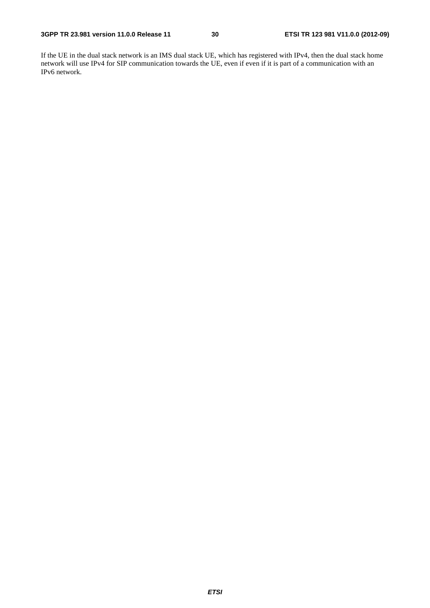If the UE in the dual stack network is an IMS dual stack UE, which has registered with IPv4, then the dual stack home network will use IPv4 for SIP communication towards the UE, even if even if it is part of a communication with an IPv6 network.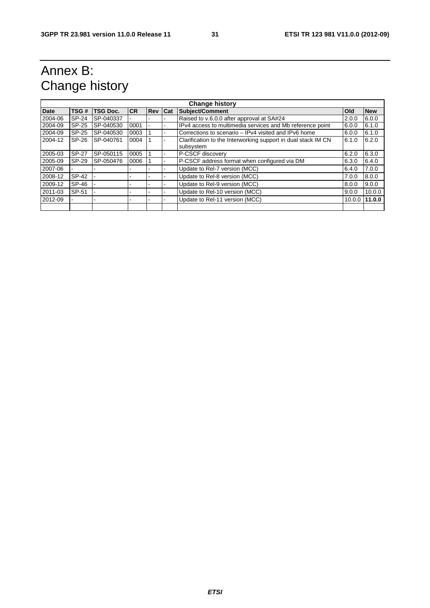# Annex B: Change history

| <b>Change history</b> |              |                 |           |            |     |                                                                                     |        |            |
|-----------------------|--------------|-----------------|-----------|------------|-----|-------------------------------------------------------------------------------------|--------|------------|
| <b>Date</b>           | TSG#         | <b>TSG Doc.</b> | <b>CR</b> | <b>Rev</b> | Cat | <b>Subject/Comment</b>                                                              | Old    | <b>New</b> |
| 2004-06               | SP-24        | SP-040337       |           |            |     | Raised to v.6.0.0 after approval at SA#24                                           | 2.0.0  | 6.0.0      |
| 2004-09               | SP-25        | SP-040530       | 0001      |            |     | IPv4 access to multimedia services and Mb reference point                           | 6.0.0  | 6.1.0      |
| 2004-09               | SP-25        | SP-040530       | 0003      |            |     | Corrections to scenario – IPv4 visited and IPv6 home                                | 6.0.0  | 6.1.0      |
| 2004-12               | SP-26        | SP-040761       | 0004      |            |     | Clarification to the Interworking support in dual stack IM CN<br>6.1.0<br>subsystem |        |            |
| 2005-03               | <b>SP-27</b> | SP-050115       | 0005      |            |     | P-CSCF discovery                                                                    | 6.2.0  | 6.3.0      |
| 2005-09               | SP-29        | SP-050476       | 0006      |            |     | P-CSCF address format when configured via DM<br>6.3.0                               |        | 6.4.0      |
| 2007-06               |              |                 |           |            |     | Update to Rel-7 version (MCC)<br>6.4.0                                              |        | 7.0.0      |
| 2008-12               | SP-42        |                 |           |            |     | Update to Rel-8 version (MCC)                                                       | 7.0.0  | 8.0.0      |
| 2009-12               | SP-46        |                 |           |            |     | Update to Rel-9 version (MCC)                                                       | 8.0.0  | 9.0.0      |
| 2011-03               | SP-51        |                 |           |            |     | Update to Rel-10 version (MCC)                                                      | 9.0.0  | 10.0.0     |
| 2012-09               |              |                 |           |            |     | Update to Rel-11 version (MCC)                                                      | 10.0.0 | 11.0.0     |
|                       |              |                 |           |            |     |                                                                                     |        |            |